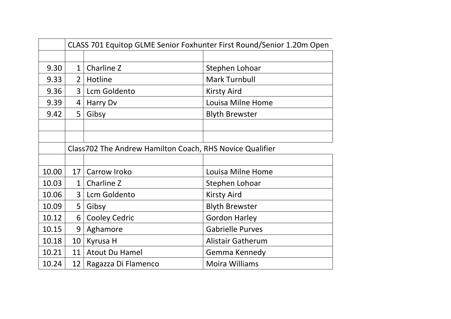|       | CLASS 701 Equitop GLME Senior Foxhunter First Round/Senior 1.20m Open |                                                          |                          |
|-------|-----------------------------------------------------------------------|----------------------------------------------------------|--------------------------|
|       |                                                                       |                                                          |                          |
| 9.30  | $\mathbf{1}$                                                          | Charline Z                                               | Stephen Lohoar           |
| 9.33  | $\overline{2}$                                                        | Hotline                                                  | <b>Mark Turnbull</b>     |
| 9.36  | 3                                                                     | Lcm Goldento                                             | <b>Kirsty Aird</b>       |
| 9.39  | 4                                                                     | Harry Dv                                                 | Louisa Milne Home        |
| 9.42  | 5                                                                     | Gibsy                                                    | <b>Blyth Brewster</b>    |
|       |                                                                       |                                                          |                          |
|       |                                                                       |                                                          |                          |
|       |                                                                       | Class702 The Andrew Hamilton Coach, RHS Novice Qualifier |                          |
|       |                                                                       |                                                          |                          |
| 10.00 | 17                                                                    | Carrow Iroko                                             | Louisa Milne Home        |
| 10.03 | $\mathbf{1}$                                                          | Charline Z                                               | Stephen Lohoar           |
| 10.06 | 3                                                                     | Lcm Goldento                                             | <b>Kirsty Aird</b>       |
| 10.09 | 5                                                                     | Gibsy                                                    | <b>Blyth Brewster</b>    |
| 10.12 | 6                                                                     | <b>Cooley Cedric</b>                                     | <b>Gordon Harley</b>     |
| 10.15 | 9                                                                     | Aghamore                                                 | <b>Gabrielle Purves</b>  |
| 10.18 | 10                                                                    | Kyrusa H                                                 | <b>Alistair Gatherum</b> |
| 10.21 | 11                                                                    | <b>Atout Du Hamel</b>                                    | Gemma Kennedy            |
| 10.24 | 12                                                                    | Ragazza Di Flamenco                                      | <b>Moira Williams</b>    |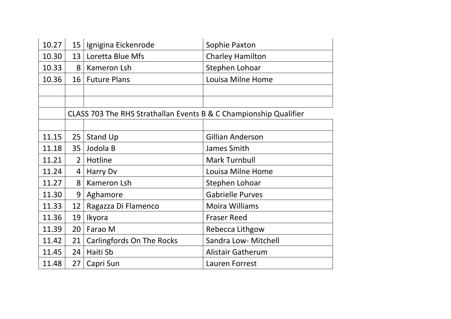| 10.27                                                             | 15 <sup>1</sup> | Ignigina Eickenrode              | Sophie Paxton            |
|-------------------------------------------------------------------|-----------------|----------------------------------|--------------------------|
| 10.30                                                             | 13              | Loretta Blue Mfs                 | <b>Charley Hamilton</b>  |
| 10.33                                                             | 8               | Kameron Lsh                      | Stephen Lohoar           |
| 10.36                                                             | 16 <sup>1</sup> | <b>Future Plans</b>              | Louisa Milne Home        |
|                                                                   |                 |                                  |                          |
|                                                                   |                 |                                  |                          |
| CLASS 703 The RHS Strathallan Events B & C Championship Qualifier |                 |                                  |                          |
|                                                                   |                 |                                  |                          |
| 11.15                                                             | 25              | Stand Up                         | <b>Gillian Anderson</b>  |
| 11.18                                                             | 35              | Jodola B                         | James Smith              |
| 11.21                                                             | $\overline{2}$  | Hotline                          | <b>Mark Turnbull</b>     |
| 11.24                                                             | 4               | Harry Dv                         | Louisa Milne Home        |
| 11.27                                                             | 8               | Kameron Lsh                      | Stephen Lohoar           |
| 11.30                                                             | 9               | Aghamore                         | <b>Gabrielle Purves</b>  |
| 11.33                                                             | 12              | Ragazza Di Flamenco              | Moira Williams           |
| 11.36                                                             | 19              | Ikyora                           | <b>Fraser Reed</b>       |
| 11.39                                                             | 20              | Farao M                          | Rebecca Lithgow          |
| 11.42                                                             | 21              | <b>Carlingfords On The Rocks</b> | Sandra Low- Mitchell     |
| 11.45                                                             | 24              | Haiti Sb                         | <b>Alistair Gatherum</b> |
| 11.48                                                             | 27              | Capri Sun                        | Lauren Forrest           |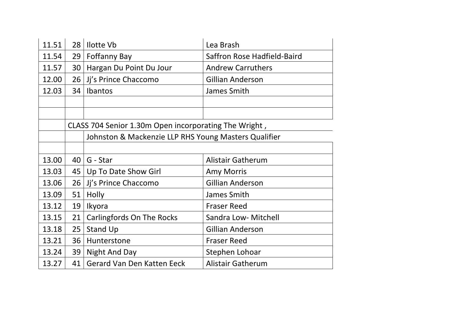| 11.51 | 28                                                    | <b>Ilotte Vb</b>                                     | Lea Brash                   |
|-------|-------------------------------------------------------|------------------------------------------------------|-----------------------------|
| 11.54 | 29                                                    | <b>Foffanny Bay</b>                                  | Saffron Rose Hadfield-Baird |
| 11.57 | 30                                                    | Hargan Du Point Du Jour                              | <b>Andrew Carruthers</b>    |
| 12.00 | 26                                                    | Jj's Prince Chaccomo                                 | <b>Gillian Anderson</b>     |
| 12.03 | 34                                                    | Ibantos                                              | James Smith                 |
|       |                                                       |                                                      |                             |
|       |                                                       |                                                      |                             |
|       | CLASS 704 Senior 1.30m Open incorporating The Wright, |                                                      |                             |
|       |                                                       | Johnston & Mackenzie LLP RHS Young Masters Qualifier |                             |
|       |                                                       |                                                      |                             |
| 13.00 | 40                                                    | G - Star                                             | <b>Alistair Gatherum</b>    |
| 13.03 | 45                                                    | Up To Date Show Girl                                 | <b>Amy Morris</b>           |
| 13.06 | 26                                                    | Jj's Prince Chaccomo                                 | <b>Gillian Anderson</b>     |
| 13.09 | 51                                                    | Holly                                                | James Smith                 |
| 13.12 | 19                                                    | Ikyora                                               | <b>Fraser Reed</b>          |
| 13.15 | 21                                                    | <b>Carlingfords On The Rocks</b>                     | Sandra Low- Mitchell        |
| 13.18 | 25                                                    | <b>Stand Up</b>                                      | <b>Gillian Anderson</b>     |
| 13.21 | 36                                                    | Hunterstone                                          | <b>Fraser Reed</b>          |
| 13.24 | 39                                                    | Night And Day                                        | Stephen Lohoar              |
| 13.27 | 41                                                    | <b>Gerard Van Den Katten Eeck</b>                    | <b>Alistair Gatherum</b>    |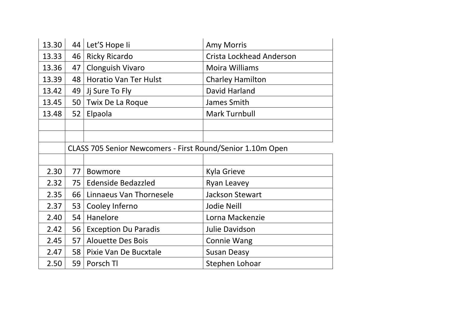| 13.30 | 44 | Let'S Hope li                                              | <b>Amy Morris</b>               |
|-------|----|------------------------------------------------------------|---------------------------------|
| 13.33 | 46 | <b>Ricky Ricardo</b>                                       | <b>Crista Lockhead Anderson</b> |
| 13.36 | 47 | <b>Clonguish Vivaro</b>                                    | <b>Moira Williams</b>           |
| 13.39 | 48 | <b>Horatio Van Ter Hulst</b>                               | <b>Charley Hamilton</b>         |
| 13.42 | 49 | Jj Sure To Fly                                             | David Harland                   |
| 13.45 | 50 | Twix De La Roque                                           | James Smith                     |
| 13.48 | 52 | Elpaola                                                    | <b>Mark Turnbull</b>            |
|       |    |                                                            |                                 |
|       |    |                                                            |                                 |
|       |    | CLASS 705 Senior Newcomers - First Round/Senior 1.10m Open |                                 |
|       |    |                                                            |                                 |
| 2.30  | 77 | <b>Bowmore</b>                                             | Kyla Grieve                     |
| 2.32  | 75 | <b>Edenside Bedazzled</b>                                  | Ryan Leavey                     |
| 2.35  | 66 | Linnaeus Van Thornesele                                    | <b>Jackson Stewart</b>          |
| 2.37  | 53 | Cooley Inferno                                             | Jodie Neill                     |
| 2.40  | 54 | Hanelore                                                   | Lorna Mackenzie                 |
| 2.42  | 56 | <b>Exception Du Paradis</b>                                | Julie Davidson                  |
| 2.45  | 57 | <b>Alouette Des Bois</b>                                   | <b>Connie Wang</b>              |
| 2.47  | 58 | Pixie Van De Bucxtale                                      | <b>Susan Deasy</b>              |
| 2.50  | 59 | Porsch Tl                                                  | Stephen Lohoar                  |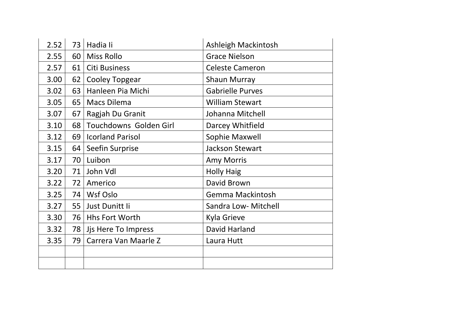| 2.52 | 73 | Hadia li                | Ashleigh Mackintosh     |
|------|----|-------------------------|-------------------------|
| 2.55 | 60 | <b>Miss Rollo</b>       | <b>Grace Nielson</b>    |
| 2.57 | 61 | Citi Business           | <b>Celeste Cameron</b>  |
| 3.00 | 62 | <b>Cooley Topgear</b>   | <b>Shaun Murray</b>     |
| 3.02 | 63 | Hanleen Pia Michi       | <b>Gabrielle Purves</b> |
| 3.05 | 65 | <b>Macs Dilema</b>      | <b>William Stewart</b>  |
| 3.07 | 67 | Ragjah Du Granit        | Johanna Mitchell        |
| 3.10 | 68 | Touchdowns Golden Girl  | Darcey Whitfield        |
| 3.12 | 69 | <b>Icorland Parisol</b> | Sophie Maxwell          |
| 3.15 | 64 | Seefin Surprise         | <b>Jackson Stewart</b>  |
| 3.17 | 70 | Luibon                  | <b>Amy Morris</b>       |
| 3.20 | 71 | John Vdl                | <b>Holly Haig</b>       |
| 3.22 | 72 | Americo                 | David Brown             |
| 3.25 | 74 | Wsf Oslo                | Gemma Mackintosh        |
| 3.27 | 55 | Just Dunitt li          | Sandra Low- Mitchell    |
| 3.30 | 76 | <b>Hhs Fort Worth</b>   | Kyla Grieve             |
| 3.32 | 78 | Jjs Here To Impress     | <b>David Harland</b>    |
| 3.35 | 79 | Carrera Van Maarle Z    | Laura Hutt              |
|      |    |                         |                         |
|      |    |                         |                         |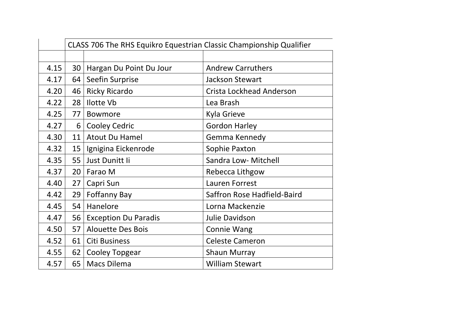|      | CLASS 706 The RHS Equikro Equestrian Classic Championship Qualifier |                             |                             |
|------|---------------------------------------------------------------------|-----------------------------|-----------------------------|
|      |                                                                     |                             |                             |
| 4.15 | 30                                                                  | Hargan Du Point Du Jour     | <b>Andrew Carruthers</b>    |
| 4.17 | 64                                                                  | Seefin Surprise             | <b>Jackson Stewart</b>      |
| 4.20 | 46                                                                  | <b>Ricky Ricardo</b>        | Crista Lockhead Anderson    |
| 4.22 | 28                                                                  | <b>Ilotte Vb</b>            | Lea Brash                   |
| 4.25 | 77                                                                  | <b>Bowmore</b>              | <b>Kyla Grieve</b>          |
| 4.27 | 6                                                                   | <b>Cooley Cedric</b>        | <b>Gordon Harley</b>        |
| 4.30 | 11                                                                  | <b>Atout Du Hamel</b>       | Gemma Kennedy               |
| 4.32 | 15                                                                  | Ignigina Eickenrode         | Sophie Paxton               |
| 4.35 | 55                                                                  | Just Dunitt li              | Sandra Low- Mitchell        |
| 4.37 | 20                                                                  | Farao M                     | Rebecca Lithgow             |
| 4.40 | 27                                                                  | Capri Sun                   | Lauren Forrest              |
| 4.42 | 29                                                                  | <b>Foffanny Bay</b>         | Saffron Rose Hadfield-Baird |
| 4.45 | 54                                                                  | Hanelore                    | Lorna Mackenzie             |
| 4.47 | 56                                                                  | <b>Exception Du Paradis</b> | Julie Davidson              |
| 4.50 | 57                                                                  | <b>Alouette Des Bois</b>    | <b>Connie Wang</b>          |
| 4.52 | 61                                                                  | Citi Business               | <b>Celeste Cameron</b>      |
| 4.55 | 62                                                                  | Cooley Topgear              | <b>Shaun Murray</b>         |
| 4.57 | 65                                                                  | <b>Macs Dilema</b>          | <b>William Stewart</b>      |